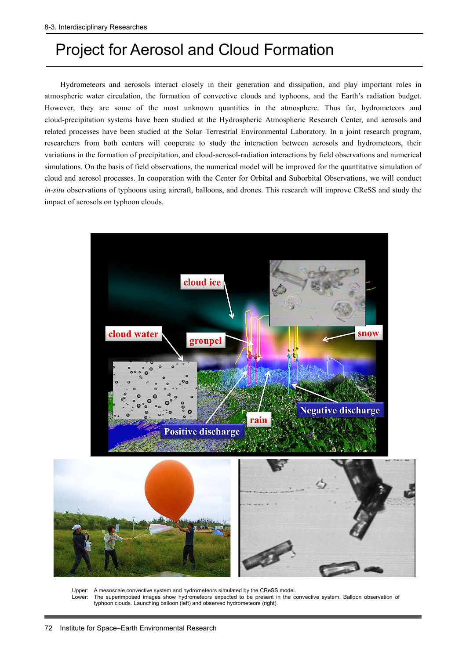## Project for Aerosol and Cloud Formation

Hydrometeors and aerosols interact closely in their generation and dissipation, and play important roles in atmospheric water circulation, the formation of convective clouds and typhoons, and the Earth's radiation budget. However, they are some of the most unknown quantities in the atmosphere. Thus far, hydrometeors and cloud-precipitation systems have been studied at the Hydrospheric Atmospheric Research Center, and aerosols and related processes have been studied at the Solar–Terrestrial Environmental Laboratory. In a joint research program, researchers from both centers will cooperate to study the interaction between aerosols and hydrometeors, their variations in the formation of precipitation, and cloud-aerosol-radiation interactions by field observations and numerical simulations. On the basis of field observations, the numerical model will be improved for the quantitative simulation of cloud and aerosol processes. In cooperation with the Center for Orbital and Suborbital Observations, we will conduct *in-situ* observations of typhoons using aircraft, balloons, and drones. This research will improve CReSS and study the impact of aerosols on typhoon clouds.



Upper: A mesoscale convective system and hydrometeors simulated by the CReSS model.<br>Lower: The superimposed images show hydrometeors expected to be present in the c The superimposed images show hydrometeors expected to be present in the convective system. Balloon observation of typhoon clouds. Launching balloon (left) and observed hydrometeors (right).